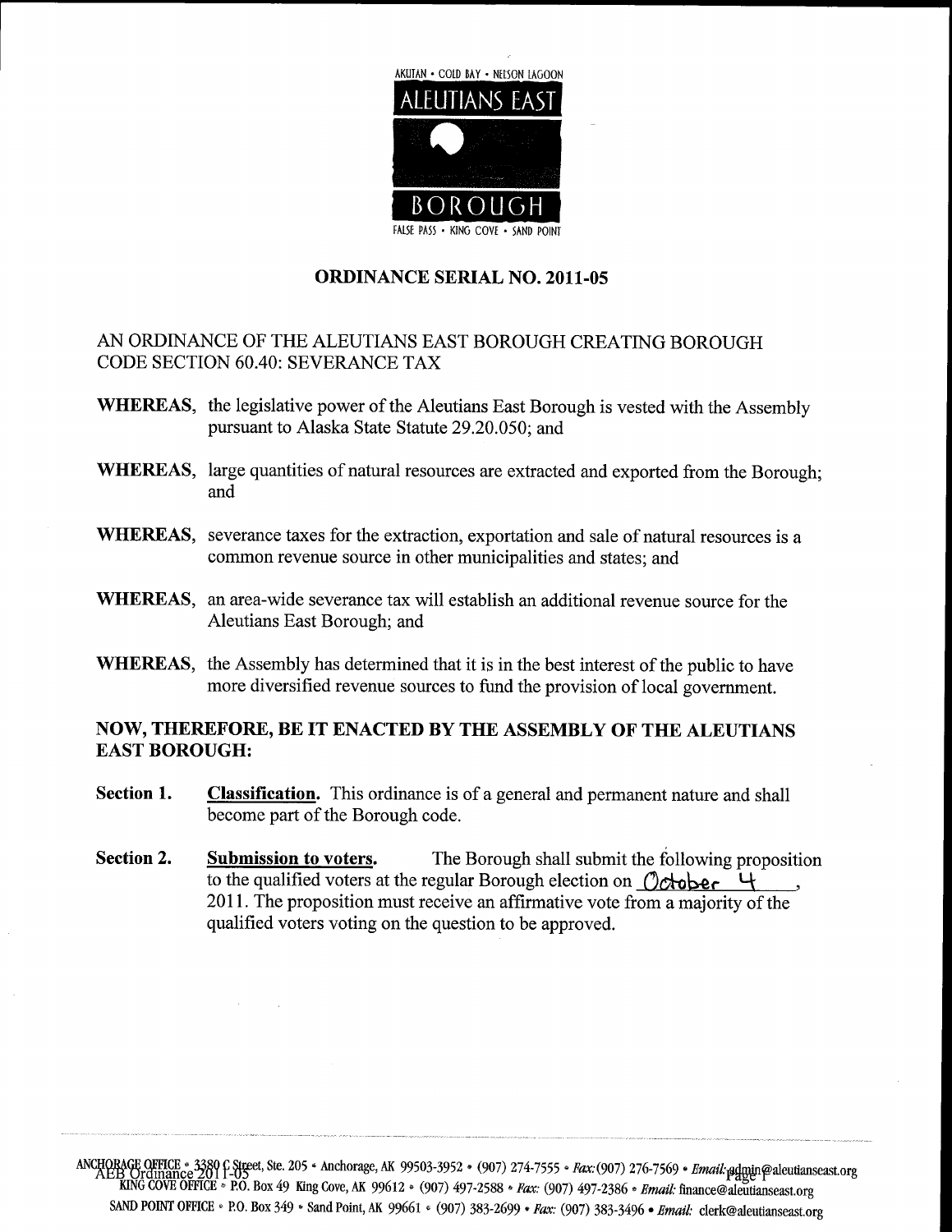

### ORDINANCE SERIAL NO. 2011-05

## AN ORDINANCE OF THE ALEUTIANS EAST BOROUGH CREATING BOROUGH CODE SECTION 60.40: SEVERANCE TAX

- WHEREAS, the legislative power of the Aleutians East Borough is vested with the Assembly<br>pursuant to Alaska State Statute 29.20.050; and
- WHEREAS, large quantities of natural resources are extracted and exported from the Borough; and
- WHEREAS, severance taxes for the extraction, exportation and sale of natural resources is a common revenue source in other municipalities and states; and
- WHEREAS, an area-wide severance tax will establish an additional revenue source for the Aleutians East Borough; and
- WHEREAS, the Assembly has determined that it is in the best interest of the public to have more diversified revenue sources to fund the provision of local government

### NOW, THEREFORE, BE IT ENACTED BY THE ASSEMBLY OF THE ALEUTIANS EAST BOROUGH

- Section 1. Classification. This ordinance is of a general and permanent nature and shall become part of the Borough code
- Section 2. Submission to voters. The Borough shall submit the following proposition to the qualified voters at the regular Borough election on  $\mathcal{O}$ chober  $\mathcal{C}$ 2011. The proposition must receive an affirmative vote from a majority of the qualified voters voting on the question to be approved

ANCHORAGE OFFICE - 3380 C Street, Ste<br>AEB Ordinance 2701<br>KING COVE OFFICE - P.O. Box 4 49 205 King Anchorage Cove, AK 99612 AK 99503 3952  $(907)$  497-2588 <sup>907</sup> 274 7555 Fax: (907) Pax: (907)  $497 - 2386$ 276 7569 with the mail of the mail of the 1569 • *Email <sub>i</sub>ndepin@aleutian*<br>Email: finance@aleutianseast.org<br>5 • *Email: c*lerk@aleutianseast.org • *Email:* <sub>p</sub>admin@aleutianseast.org<br>inance@aleutianseast.org<br>*il:* clerk@aleutianseast.org SAND POINT OFFICE • P.O. Box 349 • Sand Point, AK 99661 • (907) 383-2699 • Fax: (907) 383-3496 • Email: clerk@aleutianseast.org 3952 • (907) 274-7555 • *Fax*:(907) 276-7569 • *Email: <sub>E</sub>dggin@aleutianse*<br>7) 497-2588 *• Fax:* (907) 497-2386 *• Email: finance@aleutianseast.org*<br>(907) 383-2699 *• Fax:* (907) 383-3496 • *Email: clerk@aleutianseast.org*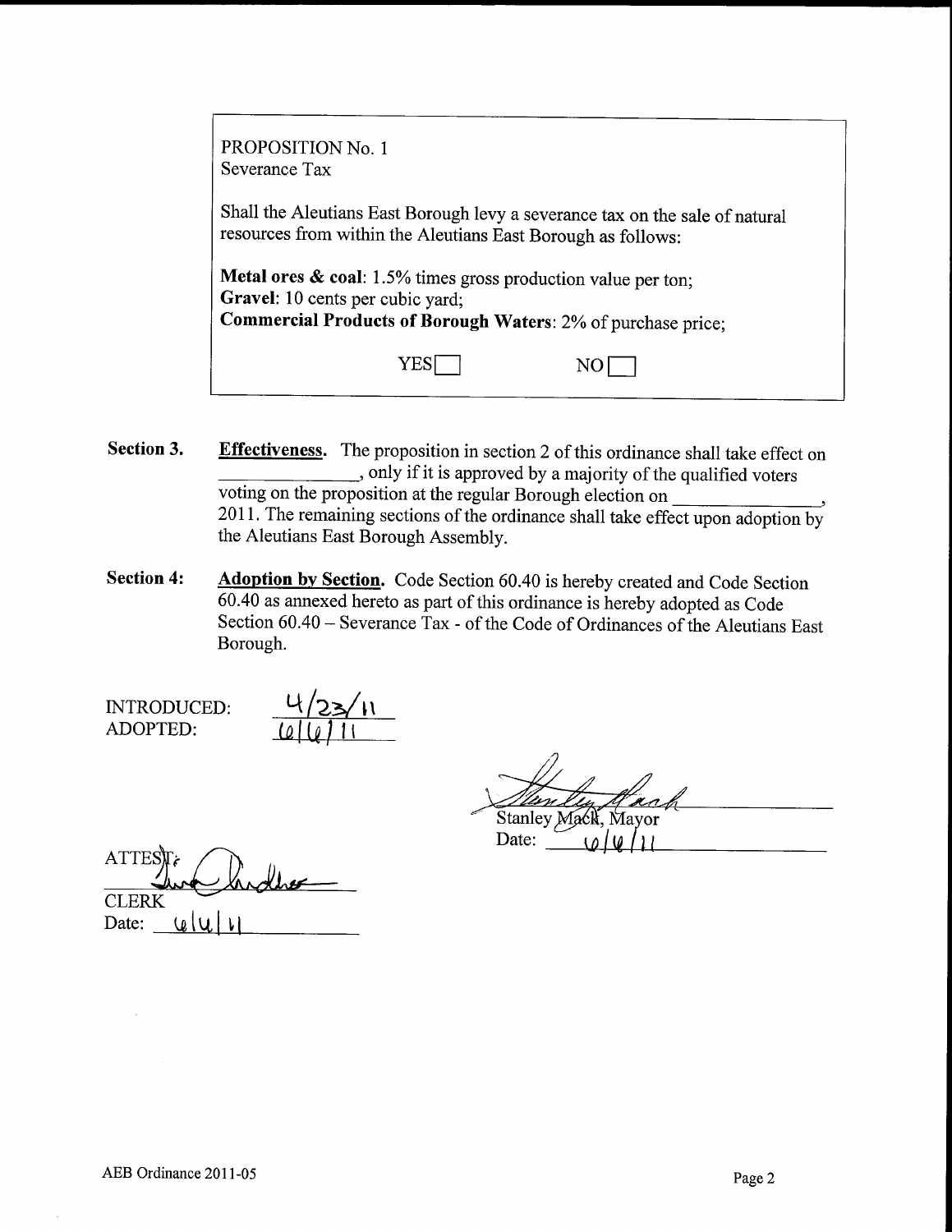| PROPOSITION No. 1<br>Severance Tax                                                                                                                                                  |  |  |  |  |
|-------------------------------------------------------------------------------------------------------------------------------------------------------------------------------------|--|--|--|--|
| Shall the Aleutians East Borough levy a severance tax on the sale of natural<br>resources from within the Aleutians East Borough as follows:                                        |  |  |  |  |
| <b>Metal ores &amp; coal:</b> 1.5% times gross production value per ton;<br>Gravel: 10 cents per cubic yard;<br><b>Commercial Products of Borough Waters: 2% of purchase price;</b> |  |  |  |  |
| Y E.                                                                                                                                                                                |  |  |  |  |

- Section 3. Effectiveness. The proposition in section 2 of this ordinance shall take effect on only if it is approved by a majority of the qualified voters voting on the proposition at the regular Borough election on 2011. The remaining sections of the ordinance shall take effect upon adoption by the Aleutians East Borough Assembly
- Section 4: Adoption by Section. Code Section 60.40 is hereby created and Code Section 604as annexed hereto as part of this ordinance is hereby adopted as Code Section  $60.40$  – Severance Tax - of the Code of Ordinances of the Aleutians East Borough

INTRODUCED ADOPTED

2 11

lvn Stanley Mack, Mayor

Date:

| $ATTES$ $\mathbf{k}$ |     | landbe |
|----------------------|-----|--------|
| <b>CLERK</b>         |     |        |
| Date:                | (n. |        |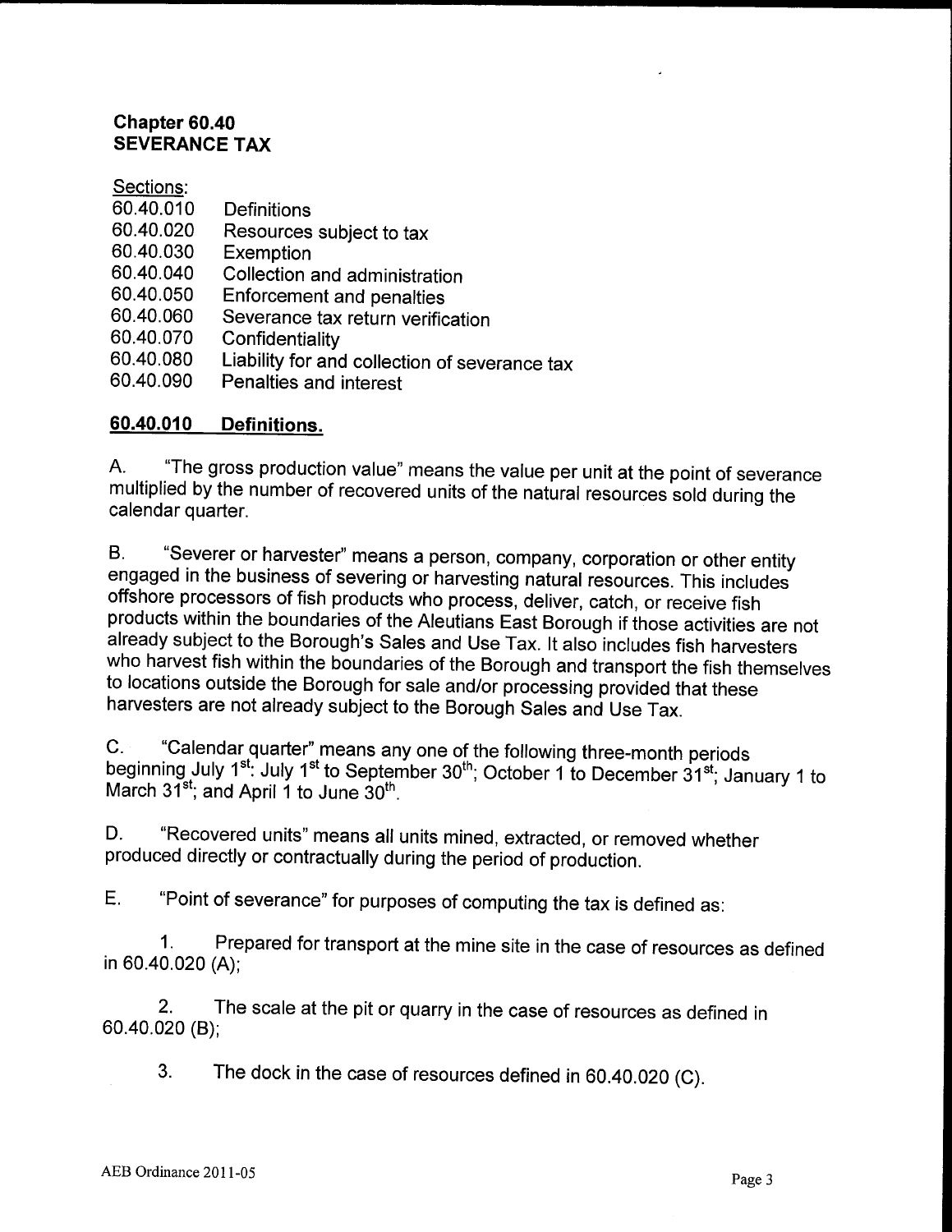## Chapter 60.40 SEVERANCE TAX

## Sections

- 60.40.010 Definitions<br>60.40.020 Resources
- Sections:<br>60.40.010 Definitions<br>60.40.020 Resources subject to tax<br>60.40.030 Exemption 60.40.010 Definitions<br>60.40.020 Resources<br>60.40.040 Collection
- 
- 60.40.020 Resources subject to tax<br>60.40.030 Exemption<br>60.40.040 Collection and administration<br>60.40.050 Enforement and namelies 60.40.030 Exemption<br>60.40.040 Collection and administraties<br>60.40.060 Soverance toy return users
- 
- 60.40.040 Collection and administration<br>60.40.050 Enforcement and penalties<br>60.40.060 Severance tax return verification<br>60.40.070 Confidentiality 60.40.050 Enforcement and penalties<br>60.40.060 Severance tax return verific<br>60.40.070 Confidentiality<br>60.40.080 Liability for and collection of
- 
- 60.40.060 Severance tax return verification<br>60.40.070 Confidentiality<br>60.40.080 Liability for and collection of severance tax<br>60.40.090 Penalties and interest 60.40.070 Confidentiality<br>60.40.080 Liability for and collec<br>60.40.090 Penalties and interest
- 60.40.090 Penalties and interest<br>60.40.010 Definitions.

A. "The gross production value" means the value per unit at the point of severance multiplied by the number of recovered units of the natural resources sold during the calendar quarter.

B. "Severer or harvester" means a person, company, corporation or other entity engaged in the business of severing or harvesting natural resources This includes offshore processors of fish products who process, deliver, catch, or receive fish products within the boundaries of the Aleutians East Borough if those activities are not B. "Severer or harvester" means a person, company, corporation or other entity engaged in the business of severing or harvesting natural resources. This includes offshore processors of fish products who process, deliver, c who harvest fish within the boundaries of the Borough and transport the fish themselves<br>to locations outside the Borough for sale and/or processing provided that these<br>harvesters are not already subject to the Bernumb Oaks to locations outside the Borough for sale and/or processing provided that these<br>harvesters are not already subject to the Borough Sales and Use Tax.

C. "Calendar quarter" means any one of the following three-month periods beginning July 1<sup>st</sup>: July 1<sup>st</sup> to September 30<sup>th</sup>; October 1 to December 31<sup>st</sup>; January 1 to March  $31^{st}$ ; and April 1 to June  $30^{th}$ .

D. "Recovered units" means all units mined, extracted, or removed whether produced directly or contractually during the period of production

E. "Point of severance" for purposes of computing the tax is defined as:

1. Prepared for transport at the mine site in the case of resources as defined in 60.40.020 (A);

2. The scale at the pit or quarry in the case of resources as defined in 60.40.020 (B);

3. The dock in the case of resources defined in  $60.40.020$  (C).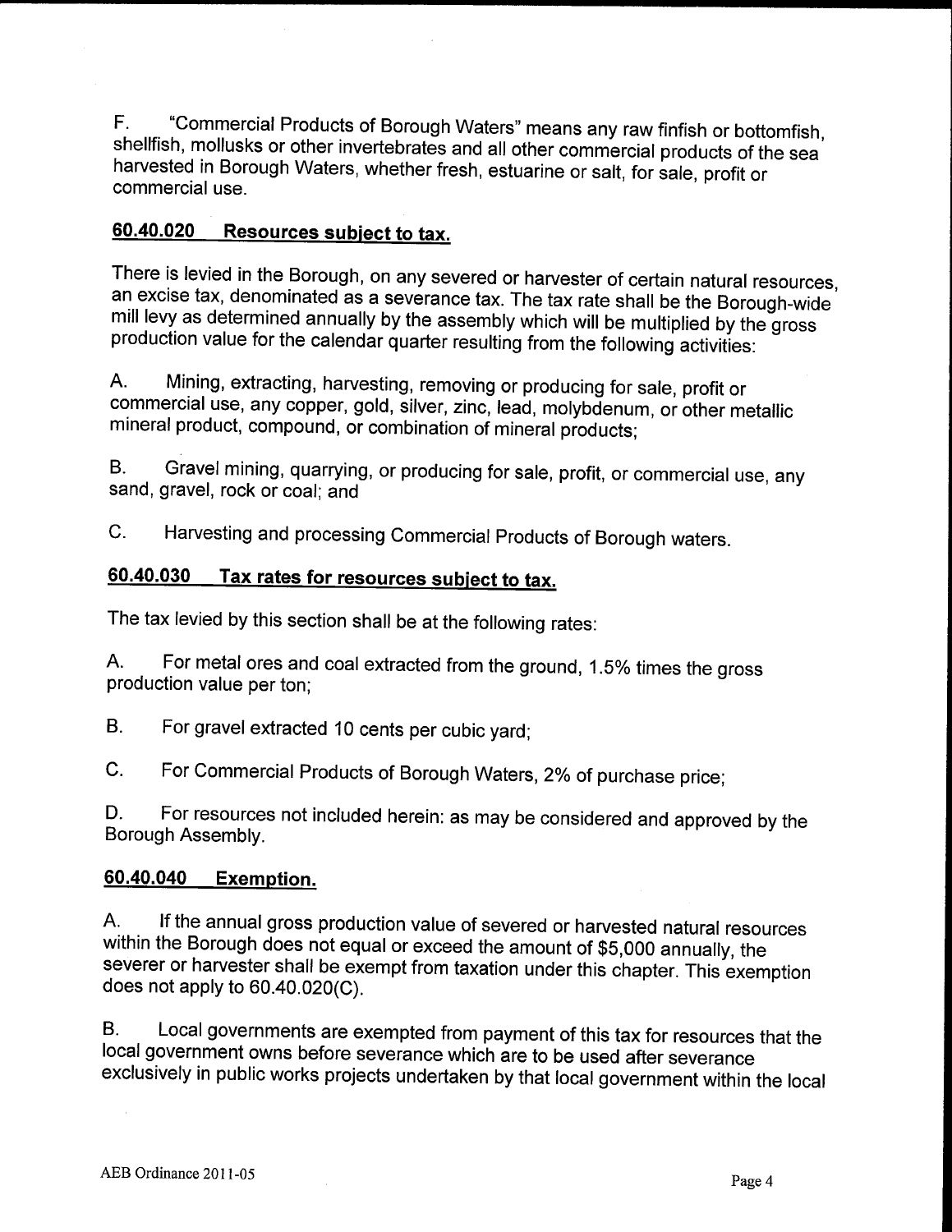F. "Commercial Products of Borough Waters" means any raw finfish or bottomfish, shellfish, mollusks or other invertebrates and all other commercial products of the sea harvested in Borough Waters, whether fresh, estuarine or salt, for sale, profit or commercial use

## 60.40.020 Resources subject to tax.

There is levied in the Borough, on any severed or harvester of certain natural resources, an mill levy as determined annually by the assembly which will be multiplied by the gross ere is levied in the Borough, on any severed or harvester of certain natural resources<br>excise tax, denominated as a severance tax. The tax rate shall be the Borough-wide<br>I levy as determined annually by the assembly which production value for the calendar quarter resulting from the following activities

A. Mining, extracting, harvesting, removing or producing for sale, profit or commercial use, any copper, gold, silver, zinc, lead, molybdenum, or other metallic mineral product, compound, or combination of mineral products;

B. Gravel mining, quarrying, or producing for sale, profit, or commercial use, any sand, gravel, rock or coal; and

C. Harvesting and processing Commercial Products of Borough waters.<br><mark>60.40.030 Tax rates for resources subject to tax.</mark>

The tax levied by this section shall be at the following rates

A. For metal ores and coal extracted from the ground, 1.5% times the gross production value per ton

B. For gravel extracted 10 cents per cubic yard;

C. For Commercial Products of Borough Waters, 2% of purchase price;

D. For resources not included herein: as may be considered and approved by the

# Borough Assembly.<br><mark>60.40.040 Exemption.</mark>

A. If the annual gross production value of severed or harvested natural resources within the Borough does not equal or exceed the amount of \$5,000 annually, the 90.40.040 Exemption.<br>
A. If the annual gross production value of severed or harvested natural resources<br>
within the Borough does not equal or exceed the amount of \$5,000 annually, the<br>
severer or harvester shall be exempt

B. Local governments are exempted from payment of this tax for resources that the local government owns before severance which are to be used after severance exclusively in public works projects undertaken by that local government within the local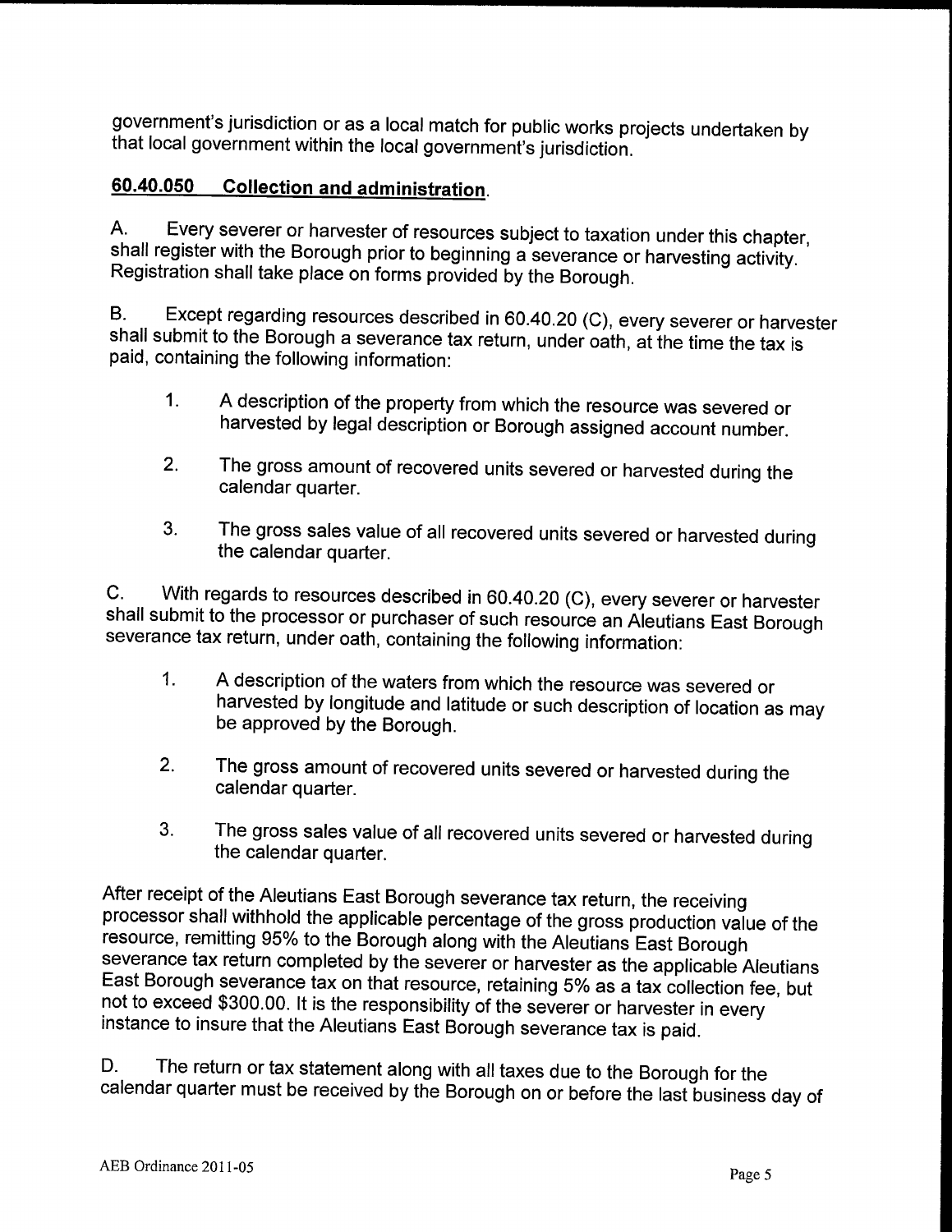government's jurisdiction or as a local match for public works projects undertaken by that local government within the local government siturisdiction.

# 60.40.050 Collection and administration.

A. Every severer or harvester of resources subject to taxation under this chapter, shall register with the Borough prior to beginning a severance or harvesting activity. Registration shall take place on forms provided by the Borough.

B. Except regarding resources described in 60.40.20 (C), every severer or harvester shall submit to the Borough a severance tax return, under oath, at the time the tax is paid, containing the following information:

- 1. A description of the property from which the resource was severed or harvested by legal description or Borough assigned account number
- 2. The gross amount of recovered units severed or harvested during the calendar quarter
- 3. The gross sales value of all recovered units severed or harvested during the calendar quarter

C. With regards to resources described in 60.40.20 (C), every severer or harvester shall submit to the processor or purchaser of such resource an Aleutians East Borough severance tax return, under oath, containing the following information:

- <sup>A</sup> description of the waters from which the resource was severed or  $1<sub>1</sub>$ harvested by longitude and latitude or such description of location as may be approved by the Borough
- 2. The gross amount of recovered units severed or harvested during the calendar quarter
- 3. The gross sales value of all recovered units severed or harvested during the calendar quarter

After receipt of the Aleutians East Borough severance tax return, the receiving processor shall withhold the applicable percentage of the gross production value of the resource, remitting 95% to the Borough along with the Aleutians East Borough severance tax return completed by the severer or harvester as the applicable Aleutians severance tax return completed by the severer or harvester as the applicable Aleutian<br>East Borough severance tax on that resource, retaining 5% as a tax collection fee, but<br>not to exceed \$300.00. It is the responsibility o

D. The return or tax statement along with all taxes due to the Borough for the calendar quarter must be received by the Borough on or before the last business day of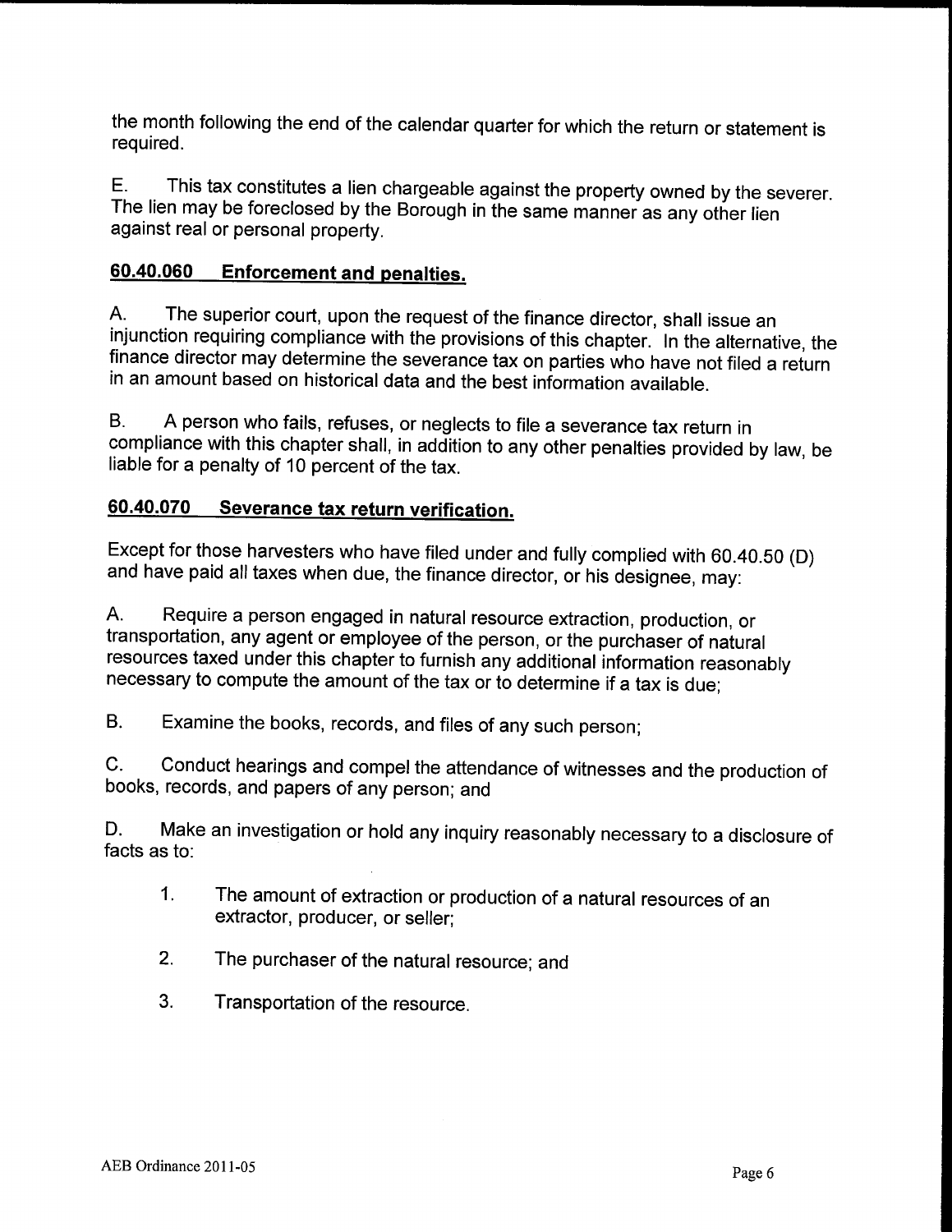the month following the end of the calendar quarter for which the return or statement is required

E. This tax constitutes a lien chargeable against the property owned by the severer. The lien may be foreclosed by the Borough in the same manner as any other lien against real or personal property.<br> **60.40.060** Enforcement and penalties

A. The superior court, upon the request of the finance director, shall issue an injunction requiring compliance with the provisions of this chapter. In the alternative, the finance director may determine the severance tax on parties who have not filed <sup>a</sup> return in an amount based on historical data and the best information available

B. A person who fails, refuses, or neglects to file a severance tax return in compliance with this chapter shall, in addition to any other penalties provided by law, be liable for <sup>a</sup> penalty of <sup>10</sup> percent of the tax

# 60.40.070 Severance tax return verification.

Except for those harvesters who have filed under and and have paid all taxes when due, the finance director, or his designee, may: fully complied with 60.40.50 (D)

A. Require a person engaged in natural resource extraction, production, or transportation, any agent or employee of the person, or the purchaser of natural resources taxed under this chapter to furnish any additional information reasonably necessary to compute the amount of the tax or to determine if <sup>a</sup> tax is due

B. Examine the books, records, and files of any such person;

C. Conduct hearings and compel the attendance of witnesses and the production of books, records, and papers of any person; and

D. Make an investigation or hold any inquiry reasonably necessary to a disclosure of facts as to

- $1<sub>1</sub>$ The amount of extraction or production of <sup>a</sup> natural resources of an extractor, producer, or seller:
- 2. The purchaser of the natural resource; and
- 3. Transportation of the resource.